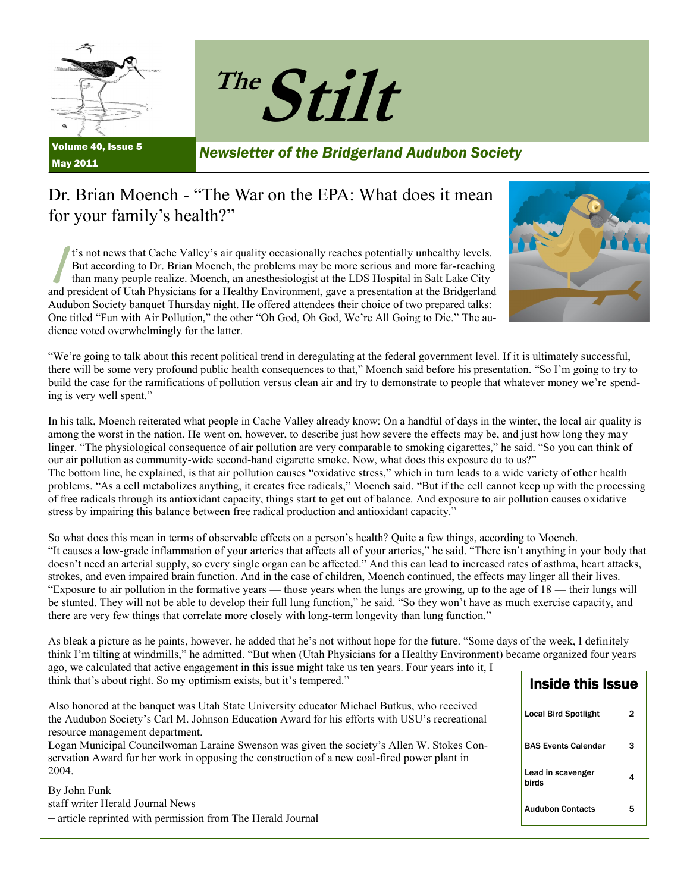

May 2011



*Newsletter of the Bridgerland Audubon Society*

### Dr. Brian Moench - "The War on the EPA: What does it mean for your family's health?"

 $\sqrt{\frac{t'}{t}}$ t's not news that Cache Valley's air quality occasionally reaches potentially unhealthy levels. But according to Dr. Brian Moench, the problems may be more serious and more far-reaching than many people realize. Moench, an anesthesiologist at the LDS Hospital in Salt Lake City and president of Utah Physicians for a Healthy Environment, gave a presentation at the Bridgerland Audubon Society banquet Thursday night. He offered attendees their choice of two prepared talks: One titled "Fun with Air Pollution," the other "Oh God, Oh God, We're All Going to Die." The audience voted overwhelmingly for the latter.



―We're going to talk about this recent political trend in deregulating at the federal government level. If it is ultimately successful, there will be some very profound public health consequences to that," Moench said before his presentation. "So I'm going to try to build the case for the ramifications of pollution versus clean air and try to demonstrate to people that whatever money we're spending is very well spent."

In his talk, Moench reiterated what people in Cache Valley already know: On a handful of days in the winter, the local air quality is among the worst in the nation. He went on, however, to describe just how severe the effects may be, and just how long they may linger. "The physiological consequence of air pollution are very comparable to smoking cigarettes," he said. "So you can think of our air pollution as community-wide second-hand cigarette smoke. Now, what does this exposure do to us?" The bottom line, he explained, is that air pollution causes "oxidative stress," which in turn leads to a wide variety of other health problems. "As a cell metabolizes anything, it creates free radicals," Moench said. "But if the cell cannot keep up with the processing of free radicals through its antioxidant capacity, things start to get out of balance. And exposure to air pollution causes oxidative stress by impairing this balance between free radical production and antioxidant capacity."

So what does this mean in terms of observable effects on a person's health? Quite a few things, according to Moench. ―It causes a low-grade inflammation of your arteries that affects all of your arteries,‖ he said. ―There isn't anything in your body that doesn't need an arterial supply, so every single organ can be affected." And this can lead to increased rates of asthma, heart attacks, strokes, and even impaired brain function. And in the case of children, Moench continued, the effects may linger all their lives. ―Exposure to air pollution in the formative years — those years when the lungs are growing, up to the age of 18 — their lungs will be stunted. They will not be able to develop their full lung function," he said. "So they won't have as much exercise capacity, and there are very few things that correlate more closely with long-term longevity than lung function."

As bleak a picture as he paints, however, he added that he's not without hope for the future. "Some days of the week, I definitely think I'm tilting at windmills," he admitted. "But when (Utah Physicians for a Healthy Environment) became organized four years ago, we calculated that active engagement in this issue might take us ten years. Four years into it, I

| think that's about right. So my optimism exists, but it's tempered."                                                                                                                                                         | Inside this Issue           |   |
|------------------------------------------------------------------------------------------------------------------------------------------------------------------------------------------------------------------------------|-----------------------------|---|
| Also honored at the banquet was Utah State University educator Michael Butkus, who received<br>the Audubon Society's Carl M. Johnson Education Award for his efforts with USU's recreational                                 | <b>Local Bird Spotlight</b> |   |
| resource management department.<br>Logan Municipal Councilwoman Laraine Swenson was given the society's Allen W. Stokes Con-<br>servation Award for her work in opposing the construction of a new coal-fired power plant in | <b>BAS Events Calendar</b>  | з |
| 2004.<br>By John Funk                                                                                                                                                                                                        | Lead in scavenger<br>birds  |   |
| staff writer Herald Journal News<br>- article reprinted with permission from The Herald Journal                                                                                                                              | <b>Audubon Contacts</b>     | 5 |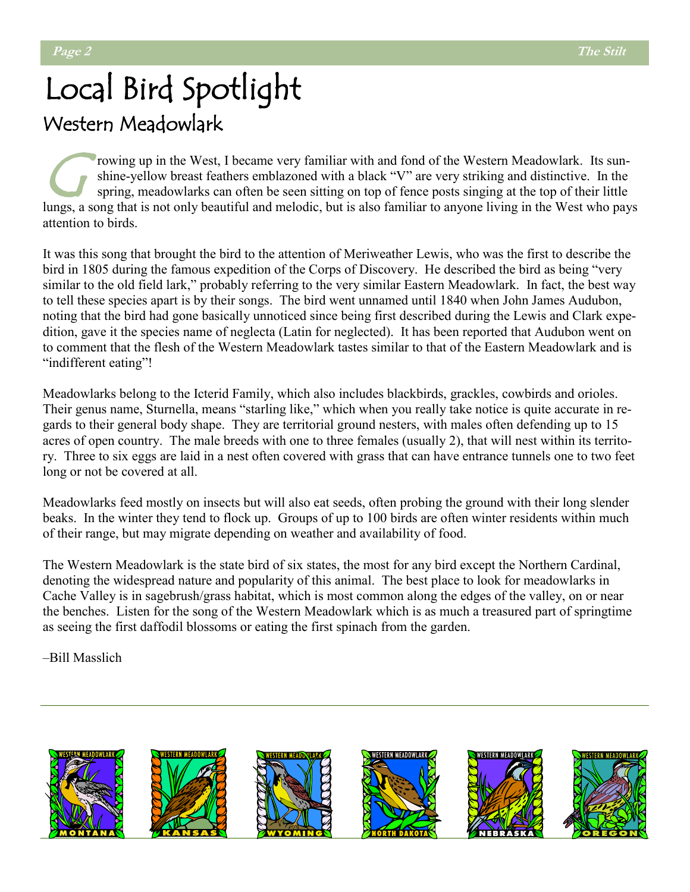# Local Bird Spotlight Western Meadowlark

C's rowing up in the West, I became very familiar with and fond of the Western Meadowlark. Its sunshine-yellow breast feathers emblazoned with a black "V" are very striking and distinctive. In the spring, meadowlarks can often be seen sitting on top of fence posts singing at the top of their little lungs, a song that is not only beautiful and melodic, but is also familiar to anyone living in the West who pays attention to birds.

It was this song that brought the bird to the attention of Meriweather Lewis, who was the first to describe the bird in 1805 during the famous expedition of the Corps of Discovery. He described the bird as being "very similar to the old field lark," probably referring to the very similar Eastern Meadowlark. In fact, the best way to tell these species apart is by their songs. The bird went unnamed until 1840 when John James Audubon, noting that the bird had gone basically unnoticed since being first described during the Lewis and Clark expedition, gave it the species name of neglecta (Latin for neglected). It has been reported that Audubon went on to comment that the flesh of the Western Meadowlark tastes similar to that of the Eastern Meadowlark and is "indifferent eating"!

Meadowlarks belong to the Icterid Family, which also includes blackbirds, grackles, cowbirds and orioles. Their genus name, Sturnella, means "starling like," which when you really take notice is quite accurate in regards to their general body shape. They are territorial ground nesters, with males often defending up to 15 acres of open country. The male breeds with one to three females (usually 2), that will nest within its territory. Three to six eggs are laid in a nest often covered with grass that can have entrance tunnels one to two feet long or not be covered at all.

Meadowlarks feed mostly on insects but will also eat seeds, often probing the ground with their long slender beaks. In the winter they tend to flock up. Groups of up to 100 birds are often winter residents within much of their range, but may migrate depending on weather and availability of food.

The Western Meadowlark is the state bird of six states, the most for any bird except the Northern Cardinal, denoting the widespread nature and popularity of this animal. The best place to look for meadowlarks in Cache Valley is in sagebrush/grass habitat, which is most common along the edges of the valley, on or near the benches. Listen for the song of the Western Meadowlark which is as much a treasured part of springtime as seeing the first daffodil blossoms or eating the first spinach from the garden.

–Bill Masslich

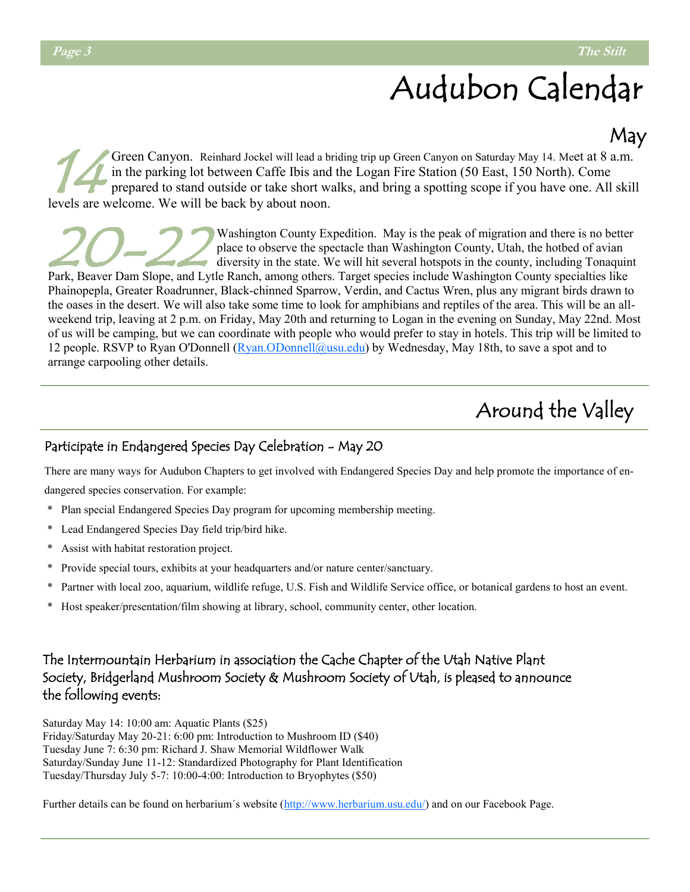# Audubon Calendar

### May

 $\frac{1}{4}$ Green Canyon. Reinhard Jockel will lead a briding trip up Green Canyon on Saturday May 14. Meet at 8 a.m. in the parking lot between Caffe Ibis and the Logan Fire Station (50 East, 150 North). Come prepared to stand outside or take short walks, and bring a spotting scope if you have one. All skill levels are welcome. We will be back by about noon.

20-22 Washington County Expedition. May is the peak of migration and there is no better place to observe the spectacle than Washington County, Utah, the hotbed of avian diversity in the state. We will hit several hotspots in the county, including Tonaquint

Park, Beaver Dam Slope, and Lytle Ranch, among others. Target species include Washington County specialties like Phainopepla, Greater Roadrunner, Black-chinned Sparrow, Verdin, and Cactus Wren, plus any migrant birds drawn to the oases in the desert. We will also take some time to look for amphibians and reptiles of the area. This will be an allweekend trip, leaving at 2 p.m. on Friday, May 20th and returning to Logan in the evening on Sunday, May 22nd. Most of us will be camping, but we can coordinate with people who would prefer to stay in hotels. This trip will be limited to 12 people. RSVP to Ryan O'Donnell ([Ryan.ODonnell@usu.edu\)](mailto:Ryan.ODonnell@usu.edu) by Wednesday, May 18th, to save a spot and to arrange carpooling other details.

## Around the Valley

#### Participate in Endangered Species Day Celebration - May 20

There are many ways for Audubon Chapters to get involved with Endangered Species Day and help promote the importance of endangered species conservation. For example:

- \* Plan special Endangered Species Day program for upcoming membership meeting.
- \* Lead Endangered Species Day field trip/bird hike.
- \* Assist with habitat restoration project.
- \* Provide special tours, exhibits at your headquarters and/or nature center/sanctuary.
- \* Partner with local zoo, aquarium, wildlife refuge, U.S. Fish and Wildlife Service office, or botanical gardens to host an event.
- \* Host speaker/presentation/film showing at library, school, community center, other location.

#### The Intermountain Herbarium in association the Cache Chapter of the Utah Native Plant Society, Bridgerland Mushroom Society & Mushroom Society of Utah, is pleased to announce the following events:

Saturday May 14: 10:00 am: Aquatic Plants (\$25) Friday/Saturday May 20-21: 6:00 pm: Introduction to Mushroom ID (\$40) Tuesday June 7: 6:30 pm: Richard J. Shaw Memorial Wildflower Walk Saturday/Sunday June 11-12: Standardized Photography for Plant Identification Tuesday/Thursday July 5-7: 10:00-4:00: Introduction to Bryophytes (\$50)

Further details can be found on herbarium´s website ([http://www.herbarium.usu.edu/\)](http://www.herbarium.usu.edu/) and on our Facebook Page.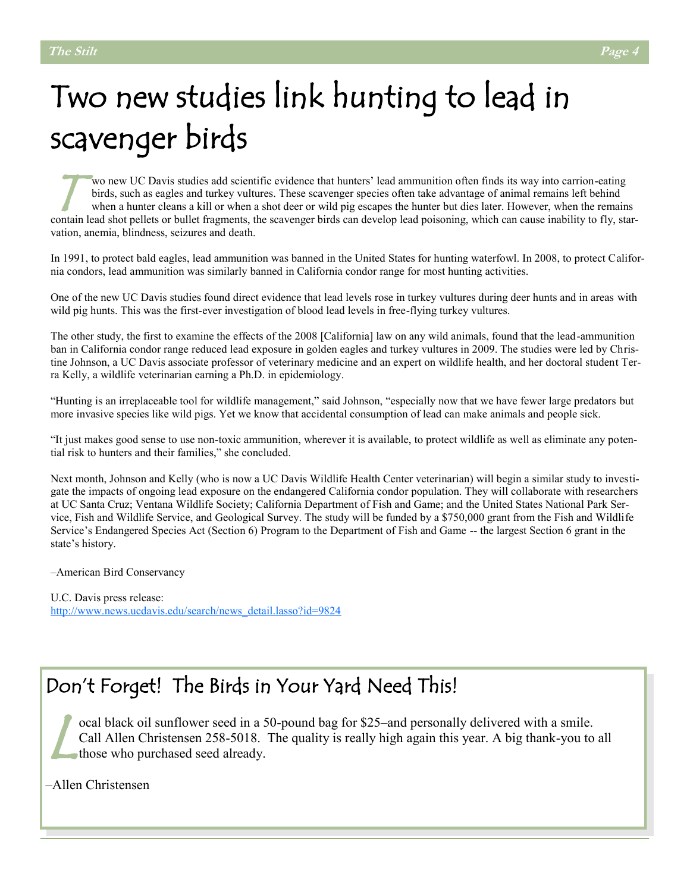# Two new studies link hunting to lead in scavenger birds

T wo new UC Davis studies add scientific evidence that hunters' lead ammunition often finds its way into carrion-eating birds, such as eagles and turkey vultures. These scavenger species often take advantage of animal remains left behind when a hunter cleans a kill or when a shot deer or wild pig escapes the hunter but dies later. However, when the remains contain lead shot pellets or bullet fragments, the scavenger birds can develop lead poisoning, which can cause inability to fly, starvation, anemia, blindness, seizures and death.

In 1991, to protect bald eagles, lead ammunition was banned in the United States for hunting waterfowl. In 2008, to protect California condors, lead ammunition was similarly banned in California condor range for most hunting activities.

One of the new UC Davis studies found direct evidence that lead levels rose in turkey vultures during deer hunts and in areas with wild pig hunts. This was the first-ever investigation of blood lead levels in free-flying turkey vultures.

The other study, the first to examine the effects of the 2008 [California] law on any wild animals, found that the lead-ammunition ban in California condor range reduced lead exposure in golden eagles and turkey vultures in 2009. The studies were led by Christine Johnson, a UC Davis associate professor of veterinary medicine and an expert on wildlife health, and her doctoral student Terra Kelly, a wildlife veterinarian earning a Ph.D. in epidemiology.

―Hunting is an irreplaceable tool for wildlife management,‖ said Johnson, ―especially now that we have fewer large predators but more invasive species like wild pigs. Yet we know that accidental consumption of lead can make animals and people sick.

―It just makes good sense to use non-toxic ammunition, wherever it is available, to protect wildlife as well as eliminate any potential risk to hunters and their families," she concluded.

Next month, Johnson and Kelly (who is now a UC Davis Wildlife Health Center veterinarian) will begin a similar study to investigate the impacts of ongoing lead exposure on the endangered California condor population. They will collaborate with researchers at UC Santa Cruz; Ventana Wildlife Society; California Department of Fish and Game; and the United States National Park Service, Fish and Wildlife Service, and Geological Survey. The study will be funded by a \$750,000 grant from the Fish and Wildlife Service's Endangered Species Act (Section 6) Program to the Department of Fish and Game -- the largest Section 6 grant in the state's history.

–American Bird Conservancy

U.C. Davis press release: [http://www.news.ucdavis.edu/search/news\\_detail.lasso?id=9824](http://www.news.ucdavis.edu/search/news_detail.lasso?id=9824)

### Don't Forget! The Birds in Your Yard Need This!

lessed in a the Christensen 258-5018.<br>
Le contraste de la divide de la divide de la divide de la divide de la divide de la divide de la divide de la<br>
Le contraste de la divide de la divide de la divide de la divide de la d ocal black oil sunflower seed in a 50-pound bag for \$25–and personally delivered with a smile. Call Allen Christensen 258-5018. The quality is really high again this year. A big thank-you to all

‒Allen Christensen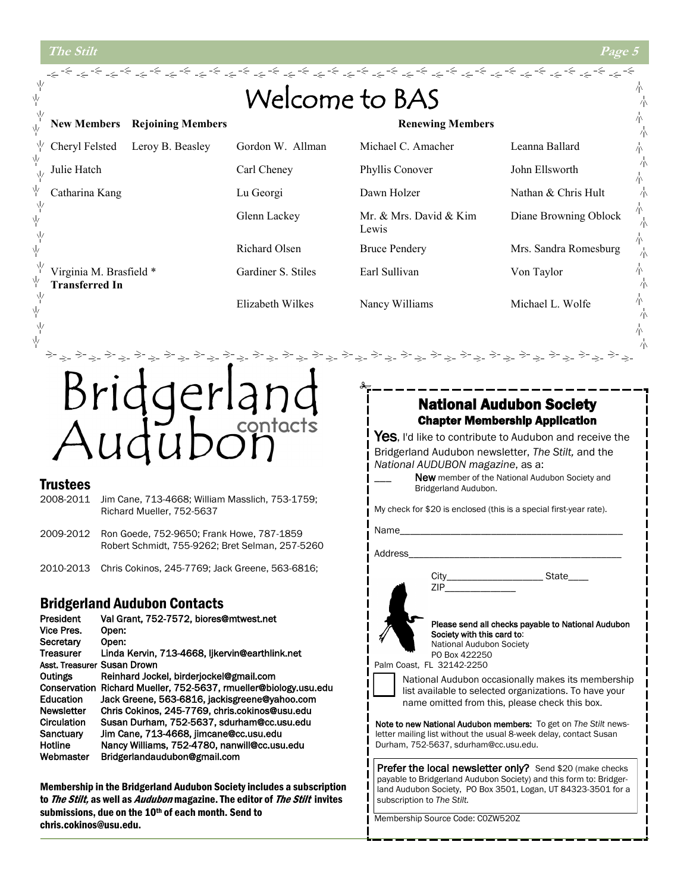ψ

ψ

γķ

뇊

γķ

γļ

ψ γķ ψ

γķ

ψ

γķ

submissions, due on the 10th of each month. Send to

chris.cokinos@usu.edu.



Membership Source Code: C0ZW520Z